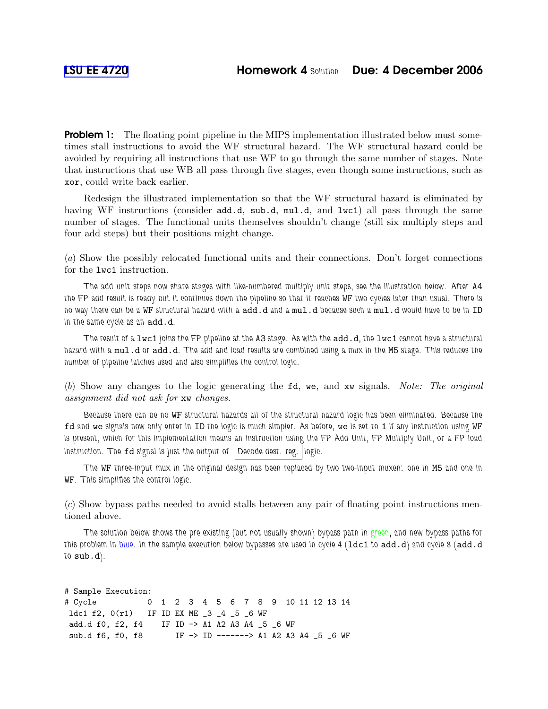**Problem 1:** The floating point pipeline in the MIPS implementation illustrated below must sometimes stall instructions to avoid the WF structural hazard. The WF structural hazard could be avoided by requiring all instructions that use WF to go through the same number of stages. Note that instructions that use WB all pass through five stages, even though some instructions, such as xor, could write back earlier.

Redesign the illustrated implementation so that the WF structural hazard is eliminated by having WF instructions (consider add.d, sub.d, mul.d, and lwc1) all pass through the same number of stages. The functional units themselves shouldn't change (still six multiply steps and four add steps) but their positions might change.

(a) Show the possibly relocated functional units and their connections. Don't forget connections for the lwc1 instruction.

The add unit steps now share stages with like-numbered multiply unit steps, see the illustration below. After A4 the FP add result is ready but it continues down the pipeline so that it reaches WF two cycles later than usual. There is no way there can be a WF structural hazard with a add.d and a mul.d because such a mul.d would have to be in ID in the same cycle as an add.d.

The result of a lwc1 joins the FP pipeline at the A3 stage. As with the add.d, the lwc1 cannot have a structural hazard with a mul.d or add.d. The add and load results are combined using a mux in the M5 stage. This reduces the number of pipeline latches used and also simplifies the control logic.

(b) Show any changes to the logic generating the fd, we, and xw signals. Note: The original assignment did not ask for xw changes.

Because there can be no WF structural hazards all of the structural hazard logic has been eliminated. Because the fd and we signals now only enter in ID the logic is much simpler. As before, we is set to 1 if any instruction using WF is present, which for this implementation means an instruction using the FP Add Unit, FP Multiply Unit, or a FP load instruction. The fd signal is just the output of Decode dest. reg. logic.

The WF three-input mux in the original design has been replaced by two two-input muxen: one in M5 and one in WF. This simplifies the control logic.

(c) Show bypass paths needed to avoid stalls between any pair of floating point instructions mentioned above.

The solution below shows the pre-existing (but not usually shown) bypass path in green, and new bypass paths for this problem in blue. In the sample execution below bypasses are used in cycle 4 (1dc1 to add.d) and cycle 8 (add.d to sub.d).

```
# Sample Execution:
# Cycle 0 1 2 3 4 5 6 7 8 9 10 11 12 13 14
ldc1 f2, 0(r1) IF ID EX ME _3 _4 _5 _6 WF
add.d f0, f2, f4 IF ID -> A1 A2 A3 A4 _5 _6 WF
sub.d f6, f0, f8 IF -> ID -------> A1 A2 A3 A4 _5 _6 WF
```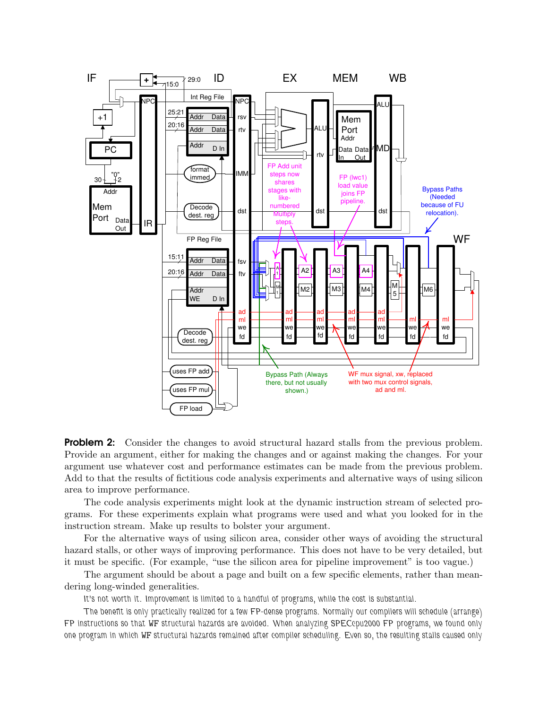

Problem 2: Consider the changes to avoid structural hazard stalls from the previous problem. Provide an argument, either for making the changes and or against making the changes. For your argument use whatever cost and performance estimates can be made from the previous problem. Add to that the results of fictitious code analysis experiments and alternative ways of using silicon area to improve performance.

The code analysis experiments might look at the dynamic instruction stream of selected programs. For these experiments explain what programs were used and what you looked for in the instruction stream. Make up results to bolster your argument.

For the alternative ways of using silicon area, consider other ways of avoiding the structural hazard stalls, or other ways of improving performance. This does not have to be very detailed, but it must be specific. (For example, "use the silicon area for pipeline improvement" is too vague.)

The argument should be about a page and built on a few specific elements, rather than meandering long-winded generalities.

It's not worth it. Improvement is limited to a handful of programs, while the cost is substantial.

The benefit is only practically realized for a few FP-dense programs. Normally our compilers will schedule (arrange) FP instructions so that WF structural hazards are avoided. When analyzing SPECcpu2000 FP programs, we found only one program in which WF structural hazards remained after compiler scheduling. Even so, the resulting stalls caused only